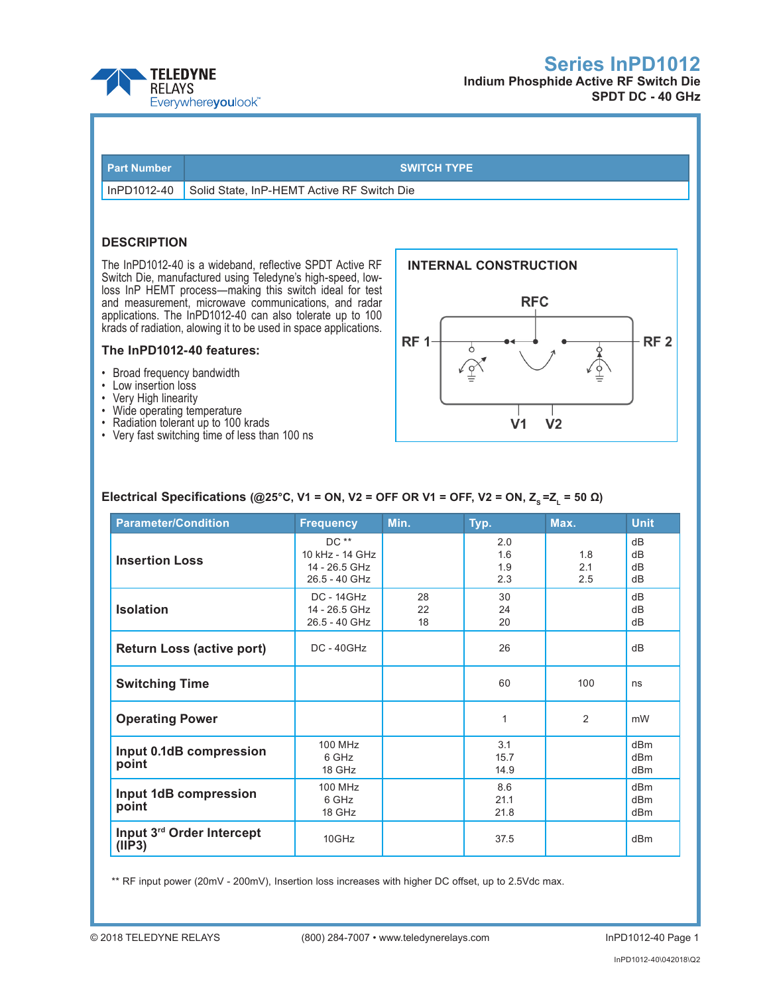



InPD1012-40 Solid State, InP-HEMT Active RF Switch Die

**Part Number SWITCH TYPE** 

### **DESCRIPTION**

The InPD1012-40 is a wideband, reflective SPDT Active RF Switch Die, manufactured using Teledyne's high-speed, lowloss InP HEMT process—making this switch ideal for test and measurement, microwave communications, and radar applications. The InPD1012-40 can also tolerate up to 100 krads of radiation, alowing it to be used in space applications.

### **The InPD1012-40 features:**

- • Broad frequency bandwidth
- • Low insertion loss
- • Very High linearity
- Wide operating temperature
- Radiation tolerant up to 100 krads
- • Very fast switching time of less than 100 ns



### **Electrical Specifications (@25°C, V1 = ON, V2 = OFF OR V1 = OFF, V2 = ON, Z<sub>s</sub> = Z<sub>1</sub> = 50 Ω)**

| <b>Parameter/Condition</b>          | <b>Frequency</b>                                            | Min.           | Typ.                     | Max.              | <b>Unit</b>                                           |
|-------------------------------------|-------------------------------------------------------------|----------------|--------------------------|-------------------|-------------------------------------------------------|
| <b>Insertion Loss</b>               | $DC**$<br>10 kHz - 14 GHz<br>14 - 26.5 GHz<br>26.5 - 40 GHz |                | 2.0<br>1.6<br>1.9<br>2.3 | 1.8<br>2.1<br>2.5 | dB<br>dB<br>dB<br>dB                                  |
| <b>Isolation</b>                    | <b>DC - 14GHz</b><br>14 - 26.5 GHz<br>26.5 - 40 GHz         | 28<br>22<br>18 | 30<br>24<br>20           |                   | dB<br>dB<br>dB                                        |
| <b>Return Loss (active port)</b>    | $DC - 40GHz$                                                |                | 26                       |                   | dB                                                    |
| <b>Switching Time</b>               |                                                             |                | 60                       | 100               | ns                                                    |
| <b>Operating Power</b>              |                                                             |                | $\mathbf{1}$             | 2                 | mW                                                    |
| Input 0.1dB compression<br>point    | <b>100 MHz</b><br>6 GHz<br>18 GHz                           |                | 3.1<br>15.7<br>14.9      |                   | d <sub>Bm</sub><br>d <sub>Bm</sub><br>dB <sub>m</sub> |
| Input 1dB compression<br>point      | <b>100 MHz</b><br>6 GHz<br>18 GHz                           |                | 8.6<br>21.1<br>21.8      |                   | d <sub>Bm</sub><br>d <sub>Bm</sub><br>dB <sub>m</sub> |
| Input 3rd Order Intercept<br>(IIP3) | $10$ GHz                                                    |                | 37.5                     |                   | d <sub>Bm</sub>                                       |

\*\* RF input power (20mV - 200mV), Insertion loss increases with higher DC offset, up to 2.5Vdc max.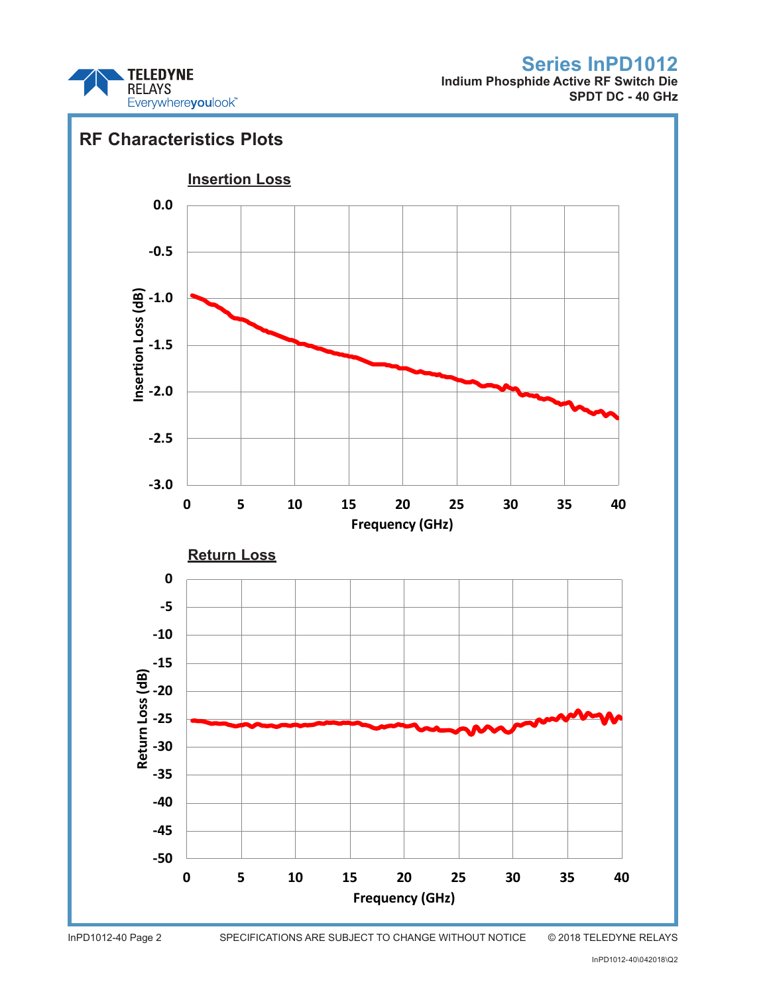

**Indium Phosphide Active RF Switch Die SPDT DC - 40 GHz**



InPD1012-40 Page 2 SPECIFICATIONS ARE SUBJECT TO CHANGE WITHOUT NOTICE © 2018 TELEDYNE RELAYS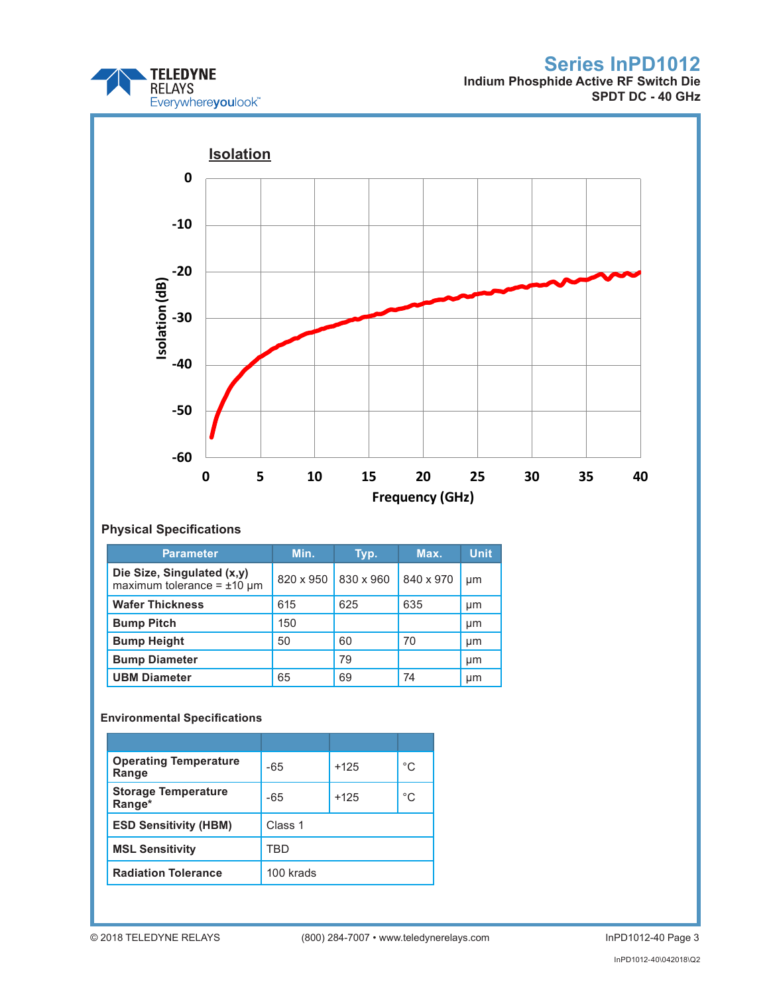

**Indium Phosphide Active RF Switch Die SPDT DC - 40 GHz**



## **Physical Specifications**

| <b>Parameter</b>                                                 | Min.      | Typ.      | Max.      | <b>Unit</b> |
|------------------------------------------------------------------|-----------|-----------|-----------|-------------|
| Die Size, Singulated (x,y)<br>maximum tolerance = $\pm 10 \mu$ m | 820 x 950 | 830 x 960 | 840 x 970 | µm          |
| <b>Wafer Thickness</b>                                           | 615       | 625       | 635       | µm          |
| <b>Bump Pitch</b>                                                | 150       |           |           | µm          |
| <b>Bump Height</b>                                               | 50        | 60        | 70        | µm          |
| <b>Bump Diameter</b>                                             |           | 79        |           | µm          |
| <b>UBM Diameter</b>                                              | 65        | 69        | 74        | μm          |

## **Environmental Specifications**

| <b>Operating Temperature</b><br>Range | -65       | $+125$ | °C |  |
|---------------------------------------|-----------|--------|----|--|
| <b>Storage Temperature</b><br>Range*  | $-65$     | $+125$ | °C |  |
| <b>ESD Sensitivity (HBM)</b>          | Class 1   |        |    |  |
| <b>MSL Sensitivity</b>                | TRD       |        |    |  |
| <b>Radiation Tolerance</b>            | 100 krads |        |    |  |